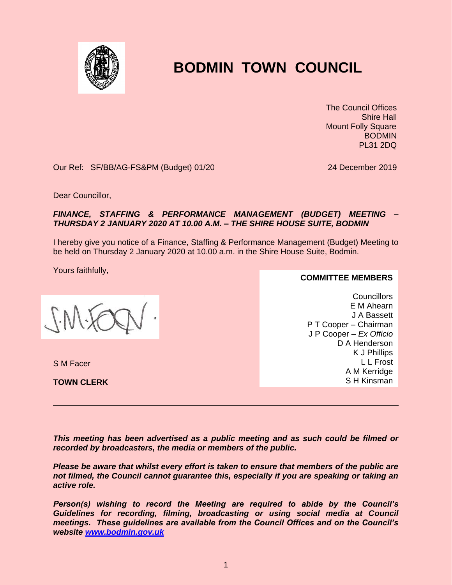

## **BODMIN TOWN COUNCIL**

 The Council Offices Shire Hall Mount Folly Square BODMIN PL31 2DQ

Our Ref: SF/BB/AG-FS&PM (Budget) 01/20 24 December 2019

Dear Councillor,

## *FINANCE, STAFFING & PERFORMANCE MANAGEMENT (BUDGET) MEETING – THURSDAY 2 JANUARY 2020 AT 10.00 A.M. – THE SHIRE HOUSE SUITE, BODMIN*

I hereby give you notice of a Finance, Staffing & Performance Management (Budget) Meeting to be held on Thursday 2 January 2020 at 10.00 a.m. in the Shire House Suite, Bodmin.

Yours faithfully,

S M Facer

**TOWN CLERK**

**COMMITTEE MEMBERS**

**Councillors** E M Ahearn J A Bassett P T Cooper – Chairman J P Cooper – *Ex Officio* D A Henderson K J Phillips L L Frost A M Kerridge S H Kinsman

*This meeting has been advertised as a public meeting and as such could be filmed or recorded by broadcasters, the media or members of the public.*

*Please be aware that whilst every effort is taken to ensure that members of the public are not filmed, the Council cannot guarantee this, especially if you are speaking or taking an active role.*

*Person(s) wishing to record the Meeting are required to abide by the Council's Guidelines for recording, filming, broadcasting or using social media at Council meetings. These guidelines are available from the Council Offices and on the Council's website [www.bodmin.gov.uk](http://www.bodmin.gov.uk/)*